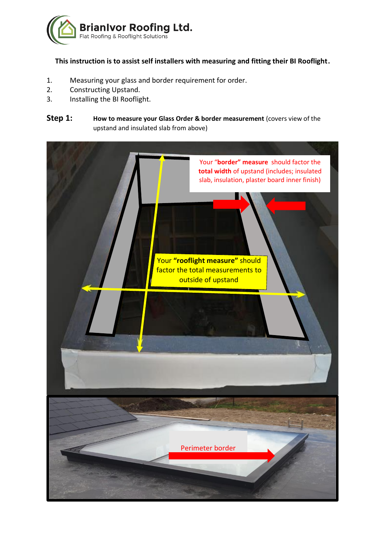

# **This instruction is to assist self installers with measuring and fitting their BI Rooflight.**

- 1. Measuring your glass and border requirement for order.
- 2. Constructing Upstand.
- 3. Installing the BI Rooflight.

# **Step 1: How to measure your Glass Order & border measurement** (covers view of the upstand and insulated slab from above)

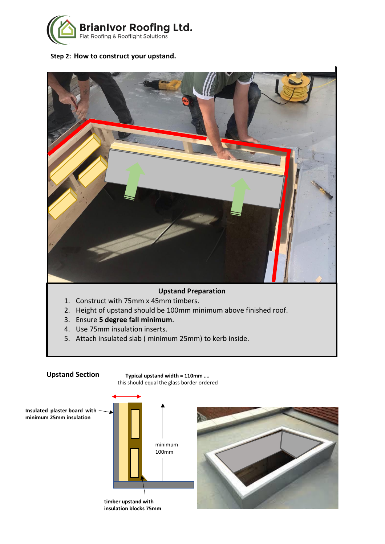

## **Step 2: How to construct your upstand.**



## **Upstand Preparation**

- 1. Construct with 75mm x 45mm timbers.
- 2. Height of upstand should be 100mm minimum above finished roof.
- 3. Ensure **5 degree fall minimum**.
- 4. Use 75mm insulation inserts.
- 5. Attach insulated slab ( minimum 25mm) to kerb inside.



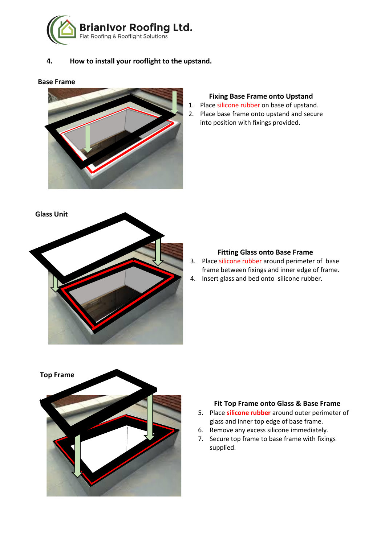

## **4. How to install your rooflight to the upstand.**

## **Base Frame**



## **Fixing Base Frame onto Upstand**

- 1. Place silicone rubber on base of upstand.
- 2. Place base frame onto upstand and secure into position with fixings provided.



#### **Fitting Glass onto Base Frame**

- 3. Place silicone rubber around perimeter of base frame between fixings and inner edge of frame.
- 4. Insert glass and bed onto silicone rubber.



### **Fit Top Frame onto Glass & Base Frame**

- 5. Place **silicone rubber** around outer perimeter of glass and inner top edge of base frame.
- 6. Remove any excess silicone immediately.
- 7. Secure top frame to base frame with fixings supplied.